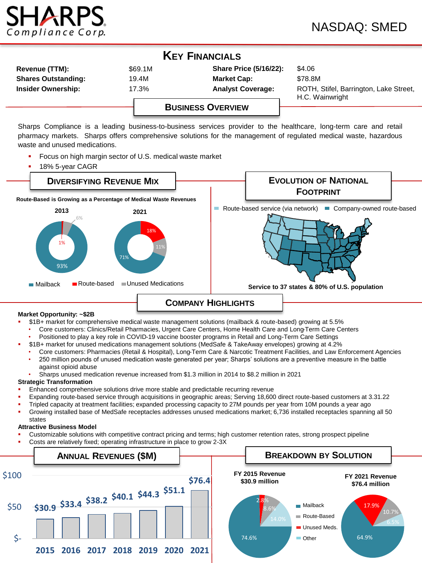

| <b>KEY FINANCIALS</b>      |         |                               |                                                           |  |  |  |
|----------------------------|---------|-------------------------------|-----------------------------------------------------------|--|--|--|
| <b>Revenue (TTM):</b>      | \$69.1M | <b>Share Price (5/16/22):</b> | \$4.06                                                    |  |  |  |
| <b>Shares Outstanding:</b> | 19.4M   | <b>Market Cap:</b>            | \$78.8M                                                   |  |  |  |
| <b>Insider Ownership:</b>  | 17.3%   | <b>Analyst Coverage:</b>      | ROTH, Stifel, Barrington, Lake Street,<br>H.C. Wainwright |  |  |  |
|                            |         |                               |                                                           |  |  |  |

# **BUSINESS OVERVIEW**

Sharps Compliance is a leading business-to-business services provider to the healthcare, long-term care and retail pharmacy markets. Sharps offers comprehensive solutions for the management of regulated medical waste, hazardous waste and unused medications.

- Focus on high margin sector of U.S. medical waste market
- 18% 5-year CAGR



- \$1B+ market for comprehensive medical waste management solutions (mailback & route-based) growing at 5.5%
	- Core customers: Clinics/Retail Pharmacies, Urgent Care Centers, Home Health Care and Long-Term Care Centers
	- Positioned to play a key role in COVID-19 vaccine booster programs in Retail and Long-Term Care Settings
	- \$1B+ market for unused medications management solutions (MedSafe & TakeAway envelopes) growing at 4.2%
	- Core customers: Pharmacies (Retail & Hospital), Long-Term Care & Narcotic Treatment Facilities, and Law Enforcement Agencies
	- 250 million pounds of unused medication waste generated per year; Sharps' solutions are a preventive measure in the battle against opioid abuse
- Sharps unused medication revenue increased from \$1.3 million in 2014 to \$8.2 million in 2021

# **Strategic Transformation**

- Enhanced comprehensive solutions drive more stable and predictable recurring revenue
- Expanding route-based service through acquisitions in geographic areas; Serving 18,600 direct route-based customers at 3.31.22
- Tripled capacity at treatment facilities; expanded processing capacity to 27M pounds per year from 10M pounds a year ago
- Growing installed base of MedSafe receptacles addresses unused medications market; 6,736 installed receptacles spanning all 50 states

# **Attractive Business Model**

- Customizable solutions with competitive contract pricing and terms; high customer retention rates, strong prospect pipeline
- Costs are relatively fixed; operating infrastructure in place to grow 2-3X